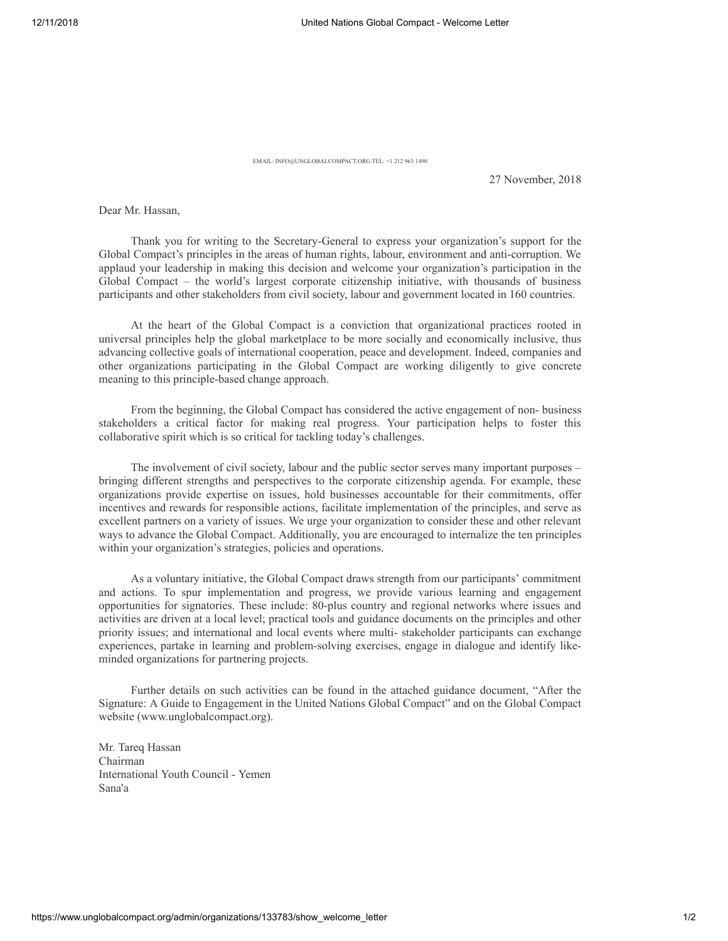EMAIL: INFO@UNGLOBALCOMPACT.ORG TEL: +1 212 963 1490

27 November, 2018

Dear Mr. Hassan,

Thank you for writing to the Secretary-General to express your organization's support for the Global Compact's principles in the areas of human rights, labour, environment and anti-corruption. We applaud your leadership in making this decision and welcome your organization's participation in the Global Compact – the world's largest corporate citizenship initiative, with thousands of business participants and other stakeholders from civil society, labour and government located in 160 countries.

At the heart of the Global Compact is a conviction that organizational practices rooted in universal principles help the global marketplace to be more socially and economically inclusive, thus advancing collective goals of international cooperation, peace and development. Indeed, companies and other organizations participating in the Global Compact are working diligently to give concrete meaning to this principle-based change approach.

From the beginning, the Global Compact has considered the active engagement of non- business stakeholders a critical factor for making real progress. Your participation helps to foster this collaborative spirit which is so critical for tackling today's challenges.

The involvement of civil society, labour and the public sector serves many important purposes – bringing different strengths and perspectives to the corporate citizenship agenda. For example, these organizations provide expertise on issues, hold businesses accountable for their commitments, offer incentives and rewards for responsible actions, facilitate implementation of the principles, and serve as excellent partners on a variety of issues. We urge your organization to consider these and other relevant ways to advance the Global Compact. Additionally, you are encouraged to internalize the ten principles within your organization's strategies, policies and operations.

As a voluntary initiative, the Global Compact draws strength from our participants' commitment and actions. To spur implementation and progress, we provide various learning and engagement opportunities for signatories. These include: 80-plus country and regional networks where issues and activities are driven at a local level; practical tools and guidance documents on the principles and other priority issues; and international and local events where multi- stakeholder participants can exchange experiences, partake in learning and problem-solving exercises, engage in dialogue and identify likeminded organizations for partnering projects.

Further details on such activities can be found in the attached guidance document, "After the Signature: A Guide to Engagement in the United Nations Global Compact" and on the Global Compact website (www.unglobalcompact.org).

Mr. Tareq Hassan Chairman International Youth Council - Yemen Sana'a